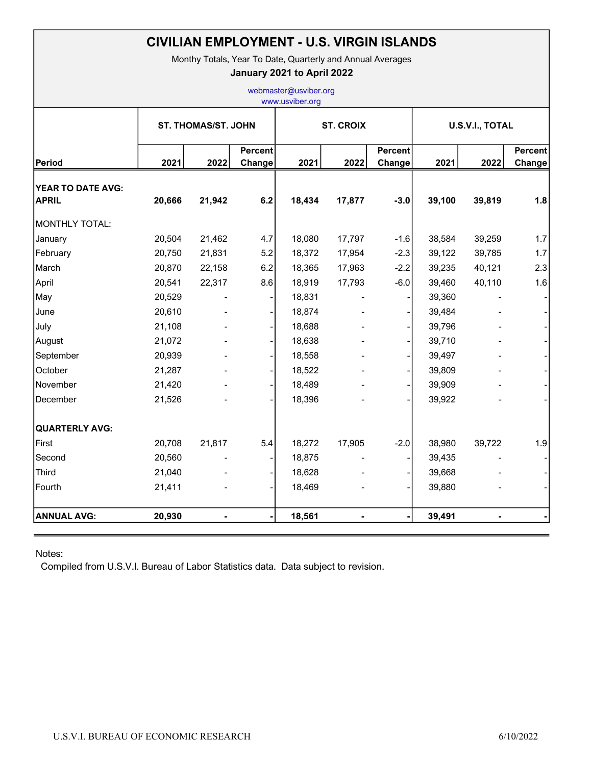| <b>CIVILIAN EMPLOYMENT - U.S. VIRGIN ISLANDS</b><br>Monthy Totals, Year To Date, Quarterly and Annual Averages<br>January 2021 to April 2022<br>webmaster@usviber.org<br>www.usviber.org |        |                |                          |        |                |                          |        |        |                          |
|------------------------------------------------------------------------------------------------------------------------------------------------------------------------------------------|--------|----------------|--------------------------|--------|----------------|--------------------------|--------|--------|--------------------------|
|                                                                                                                                                                                          |        |                |                          |        |                |                          |        |        |                          |
| Period                                                                                                                                                                                   | 2021   | 2022           | <b>Percent</b><br>Change | 2021   | 2022           | <b>Percent</b><br>Change | 2021   | 2022   | <b>Percent</b><br>Change |
| YEAR TO DATE AVG:<br><b>APRIL</b>                                                                                                                                                        | 20,666 | 21,942         | 6.2                      | 18,434 | 17,877         | $-3.0$                   | 39,100 | 39,819 | 1.8                      |
| MONTHLY TOTAL:                                                                                                                                                                           |        |                |                          |        |                |                          |        |        |                          |
| January                                                                                                                                                                                  | 20,504 | 21,462         | 4.7                      | 18,080 | 17,797         | $-1.6$                   | 38,584 | 39,259 | 1.7                      |
| February                                                                                                                                                                                 | 20,750 | 21,831         | 5.2                      | 18,372 | 17,954         | $-2.3$                   | 39,122 | 39,785 | 1.7                      |
| March                                                                                                                                                                                    | 20,870 | 22,158         | 6.2                      | 18,365 | 17,963         | $-2.2$                   | 39,235 | 40,121 | 2.3                      |
| April                                                                                                                                                                                    | 20,541 | 22,317         | 8.6                      | 18,919 | 17,793         | $-6.0$                   | 39,460 | 40,110 | 1.6                      |
| May                                                                                                                                                                                      | 20,529 |                |                          | 18,831 |                |                          | 39,360 |        |                          |
| June                                                                                                                                                                                     | 20,610 |                |                          | 18,874 |                |                          | 39,484 |        |                          |
| July                                                                                                                                                                                     | 21,108 |                |                          | 18,688 |                |                          | 39,796 |        |                          |
| August                                                                                                                                                                                   | 21,072 |                |                          | 18,638 |                |                          | 39,710 |        |                          |
| September                                                                                                                                                                                | 20,939 |                |                          | 18,558 |                |                          | 39,497 |        |                          |
| October                                                                                                                                                                                  | 21,287 |                |                          | 18,522 |                |                          | 39,809 |        |                          |
| November                                                                                                                                                                                 | 21,420 |                |                          | 18,489 |                |                          | 39,909 |        |                          |
| December                                                                                                                                                                                 | 21,526 |                |                          | 18,396 |                |                          | 39,922 |        |                          |
| <b>QUARTERLY AVG:</b>                                                                                                                                                                    |        |                |                          |        |                |                          |        |        |                          |
| First                                                                                                                                                                                    | 20,708 | 21,817         | 5.4                      | 18,272 | 17,905         | $-2.0$                   | 38,980 | 39,722 | 1.9                      |
| Second                                                                                                                                                                                   | 20,560 |                |                          | 18,875 |                |                          | 39,435 |        |                          |
| Third                                                                                                                                                                                    | 21,040 |                |                          | 18,628 |                |                          | 39,668 |        |                          |
| Fourth                                                                                                                                                                                   | 21,411 |                |                          | 18,469 |                |                          | 39,880 |        |                          |
| <b>ANNUAL AVG:</b>                                                                                                                                                                       | 20,930 | $\blacksquare$ |                          | 18,561 | $\blacksquare$ |                          | 39,491 |        |                          |

## Notes:

Compiled from U.S.V.I. Bureau of Labor Statistics data. Data subject to revision.